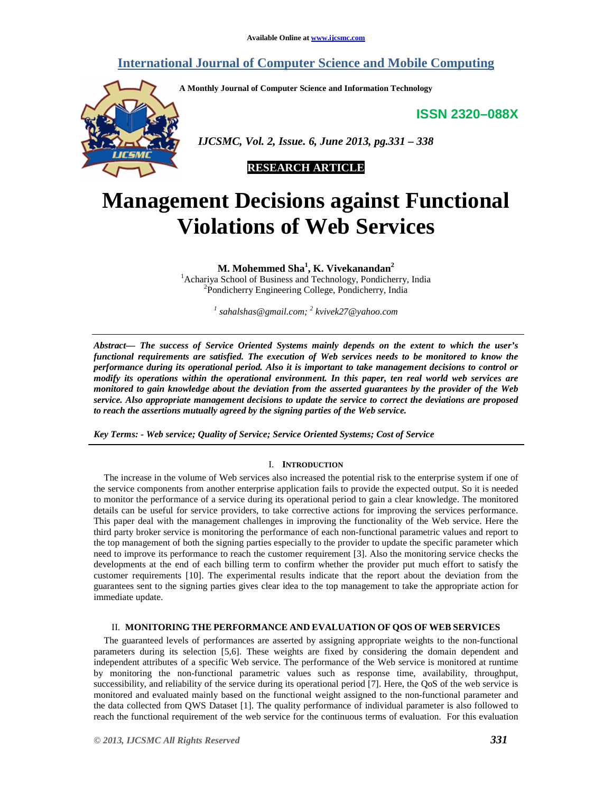## **International Journal of Computer Science and Mobile Computing**

**A Monthly Journal of Computer Science and Information Technology** 

**ISSN 2320–088X**



 *IJCSMC, Vol. 2, Issue. 6, June 2013, pg.331 – 338* 



# **Management Decisions against Functional Violations of Web Services**

**M. Mohemmed Sha<sup>1</sup> , K. Vivekanandan<sup>2</sup>**

<sup>1</sup> Achariya School of Business and Technology, Pondicherry, India 2 Pondicherry Engineering College, Pondicherry, India

*1 sahalshas@gmail.com; <sup>2</sup> kvivek27@yahoo.com* 

*Abstract— The success of Service Oriented Systems mainly depends on the extent to which the user's functional requirements are satisfied. The execution of Web services needs to be monitored to know the performance during its operational period. Also it is important to take management decisions to control or modify its operations within the operational environment. In this paper, ten real world web services are monitored to gain knowledge about the deviation from the asserted guarantees by the provider of the Web service. Also appropriate management decisions to update the service to correct the deviations are proposed to reach the assertions mutually agreed by the signing parties of the Web service.* 

*Key Terms: - Web service; Quality of Service; Service Oriented Systems; Cost of Service* 

#### I. **INTRODUCTION**

The increase in the volume of Web services also increased the potential risk to the enterprise system if one of the service components from another enterprise application fails to provide the expected output. So it is needed to monitor the performance of a service during its operational period to gain a clear knowledge. The monitored details can be useful for service providers, to take corrective actions for improving the services performance. This paper deal with the management challenges in improving the functionality of the Web service. Here the third party broker service is monitoring the performance of each non-functional parametric values and report to the top management of both the signing parties especially to the provider to update the specific parameter which need to improve its performance to reach the customer requirement [3]. Also the monitoring service checks the developments at the end of each billing term to confirm whether the provider put much effort to satisfy the customer requirements [10]. The experimental results indicate that the report about the deviation from the guarantees sent to the signing parties gives clear idea to the top management to take the appropriate action for immediate update.

### II. **MONITORING THE PERFORMANCE AND EVALUATION OF QOS OF WEB SERVICES**

The guaranteed levels of performances are asserted by assigning appropriate weights to the non-functional parameters during its selection [5,6]. These weights are fixed by considering the domain dependent and independent attributes of a specific Web service. The performance of the Web service is monitored at runtime by monitoring the non-functional parametric values such as response time, availability, throughput, successibility, and reliability of the service during its operational period [7]. Here, the QoS of the web service is monitored and evaluated mainly based on the functional weight assigned to the non-functional parameter and the data collected from QWS Dataset [1]. The quality performance of individual parameter is also followed to reach the functional requirement of the web service for the continuous terms of evaluation. For this evaluation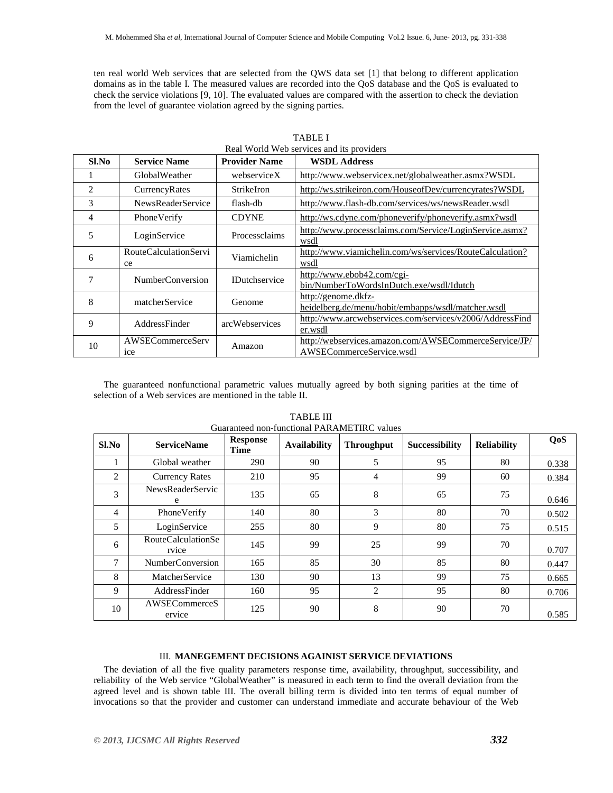ten real world Web services that are selected from the QWS data set [1] that belong to different application domains as in the table I. The measured values are recorded into the QoS database and the QoS is evaluated to check the service violations [9, 10]. The evaluated values are compared with the assertion to check the deviation from the level of guarantee violation agreed by the signing parties.

| Sl.No | <b>Service Name</b>         | <b>Provider Name</b> | <b>WSDL Address</b>                                                               |  |  |
|-------|-----------------------------|----------------------|-----------------------------------------------------------------------------------|--|--|
|       | GlobalWeather               | webserviceX          | http://www.webservicex.net/globalweather.asmx?WSDL                                |  |  |
| 2     | CurrencyRates               | <b>StrikeIron</b>    | http://ws.strikeiron.com/HouseofDev/currencyrates?WSDL                            |  |  |
| 3     | <b>NewsReaderService</b>    | flash-db             | http://www.flash-db.com/services/ws/newsReader.wsdl                               |  |  |
| 4     | <b>Phone Verify</b>         | <b>CDYNE</b>         | http://ws.cdyne.com/phoneverify/phoneverify.asmx?wsdl                             |  |  |
| 5     | LoginService                | Processclaims        | http://www.processclaims.com/Service/LoginService.asmx?<br>wsdl                   |  |  |
| 6     | RouteCalculationServi<br>ce | Viamichelin          | http://www.viamichelin.com/ws/services/RouteCalculation?<br>wsdl                  |  |  |
| 7     | NumberConversion            | <b>IDutchservice</b> | http://www.ebob42.com/cgi-<br>bin/NumberToWordsInDutch.exe/wsdl/Idutch            |  |  |
| 8     | matcherService              | Genome               | http://genome.dkfz-<br>heidelberg.de/menu/hobit/embapps/wsdl/matcher.wsdl         |  |  |
| 9     | AddressFinder               | arcWebservices       | http://www.arcwebservices.com/services/v2006/AddressFind<br>er.wsdl               |  |  |
| 10    | AWSECommerceServ<br>ice     | Amazon               | http://webservices.amazon.com/AWSECommerceService/JP/<br>AWSECommerceService.wsdl |  |  |

TABLE I Real World Web services and its providers

The guaranteed nonfunctional parametric values mutually agreed by both signing parities at the time of selection of a Web services are mentioned in the table II.

| Sl.No | <b>ServiceName</b>           | <b>Response</b><br>Time | <b>Availability</b> | <b>Throughput</b> | <b>Successibility</b> | <b>Reliability</b> | QoS   |
|-------|------------------------------|-------------------------|---------------------|-------------------|-----------------------|--------------------|-------|
|       | Global weather               | 290                     | 90                  | 5                 | 95                    | 80                 | 0.338 |
| 2     | <b>Currency Rates</b>        | 210                     | 95                  | 4                 | 99                    | 60                 | 0.384 |
| 3     | <b>NewsReaderServic</b><br>e | 135                     | 65                  | 8                 | 65                    | 75                 | 0.646 |
| 4     | PhoneVerify                  | 140                     | 80                  | 3                 | 80                    | 70                 | 0.502 |
| 5     | LoginService                 | 255                     | 80                  | 9                 | 80                    | 75                 | 0.515 |
| 6     | RouteCalculationSe<br>rvice  | 145                     | 99                  | 25                | 99                    | 70                 | 0.707 |
| 7     | <b>NumberConversion</b>      | 165                     | 85                  | 30                | 85                    | 80                 | 0.447 |
| 8     | MatcherService               | 130                     | 90                  | 13                | 99                    | 75                 | 0.665 |
| 9     | AddressFinder                | 160                     | 95                  | 2                 | 95                    | 80                 | 0.706 |
| 10    | AWSECommerceS<br>ervice      | 125                     | 90                  | 8                 | 90                    | 70                 | 0.585 |

TABLE III Guaranteed non-functional PARAMETIRC values

## III. **MANEGEMENT DECISIONS AGAINIST SERVICE DEVIATIONS**

The deviation of all the five quality parameters response time, availability, throughput, successibility, and reliability of the Web service "GlobalWeather" is measured in each term to find the overall deviation from the agreed level and is shown table III. The overall billing term is divided into ten terms of equal number of invocations so that the provider and customer can understand immediate and accurate behaviour of the Web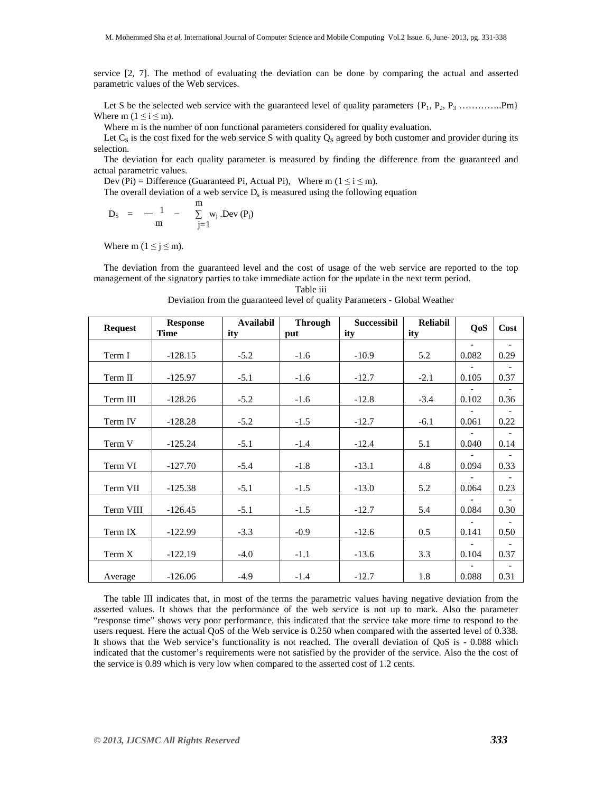service [2, 7]. The method of evaluating the deviation can be done by comparing the actual and asserted parametric values of the Web services.

Let S be the selected web service with the guaranteed level of quality parameters  $\{P_1, P_2, P_3, \ldots, \ldots, P_m\}$ Where m  $(1 \le i \le m)$ .

Where m is the number of non functional parameters considered for quality evaluation.

Let  $C_S$  is the cost fixed for the web service S with quality  $Q_S$  agreed by both customer and provider during its selection.

The deviation for each quality parameter is measured by finding the difference from the guaranteed and actual parametric values.

Dev (Pi) = Difference (Guaranteed Pi, Actual Pi), Where m ( $1 \le i \le m$ ).

The overall deviation of a web service  $D_s$  is measured using the following equation

$$
D_S \hspace{2mm} = \hspace{2mm} -\hspace{2mm} \frac{1}{m} \hspace{2mm} - \hspace{2mm} \sum_{j=1}^m w_j \hspace{2mm} . Dev \hspace{2mm} (P_j)
$$

Where m  $(1 \le j \le m)$ .

The deviation from the guaranteed level and the cost of usage of the web service are reported to the top management of the signatory parties to take immediate action for the update in the next term period.

Table iii

Deviation from the guaranteed level of quality Parameters - Global Weather

| <b>Request</b> | <b>Response</b><br><b>Time</b> | Availabil<br>ity | <b>Through</b><br>put | <b>Successibil</b><br>ity | Reliabil<br>ity | QoS   | Cost                             |
|----------------|--------------------------------|------------------|-----------------------|---------------------------|-----------------|-------|----------------------------------|
|                |                                |                  |                       |                           |                 |       | $\overline{\phantom{a}}$         |
| Term I         | $-128.15$                      | $-5.2$           | $-1.6$                | $-10.9$                   | 5.2             | 0.082 | 0.29                             |
|                |                                |                  |                       |                           |                 |       | $\blacksquare$                   |
| Term II        | $-125.97$                      | $-5.1$           | $-1.6$                | $-12.7$                   | $-2.1$          | 0.105 | 0.37                             |
| Term III       | $-128.26$                      | $-5.2$           | $-1.6$                | $-12.8$                   | $-3.4$          | 0.102 | $\overline{a}$<br>0.36           |
| Term IV        | $-128.28$                      | $-5.2$           | $-1.5$                | $-12.7$                   | $-6.1$          | 0.061 | $\overline{\phantom{a}}$<br>0.22 |
| Term V         | $-125.24$                      | $-5.1$           | $-1.4$                | $-12.4$                   | 5.1             | 0.040 | $\overline{\phantom{a}}$<br>0.14 |
| Term VI        | $-127.70$                      | $-5.4$           | $-1.8$                | $-13.1$                   | 4.8             | 0.094 | 0.33                             |
| Term VII       | $-125.38$                      | $-5.1$           | $-1.5$                | $-13.0$                   | 5.2             | 0.064 | 0.23                             |
| Term VIII      | $-126.45$                      | $-5.1$           | $-1.5$                | $-12.7$                   | 5.4             | 0.084 | 0.30                             |
| Term IX        | $-122.99$                      | $-3.3$           | $-0.9$                | $-12.6$                   | 0.5             | 0.141 | $\overline{a}$<br>0.50           |
| Term X         | $-122.19$                      | $-4.0$           | $-1.1$                | $-13.6$                   | 3.3             | 0.104 | $\overline{\phantom{a}}$<br>0.37 |
| Average        | $-126.06$                      | $-4.9$           | $-1.4$                | $-12.7$                   | 1.8             | 0.088 | $\overline{\phantom{a}}$<br>0.31 |

The table III indicates that, in most of the terms the parametric values having negative deviation from the asserted values. It shows that the performance of the web service is not up to mark. Also the parameter "response time" shows very poor performance, this indicated that the service take more time to respond to the users request. Here the actual QoS of the Web service is 0.250 when compared with the asserted level of 0.338. It shows that the Web service's functionality is not reached. The overall deviation of QoS is - 0.088 which indicated that the customer's requirements were not satisfied by the provider of the service. Also the the cost of the service is 0.89 which is very low when compared to the asserted cost of 1.2 cents.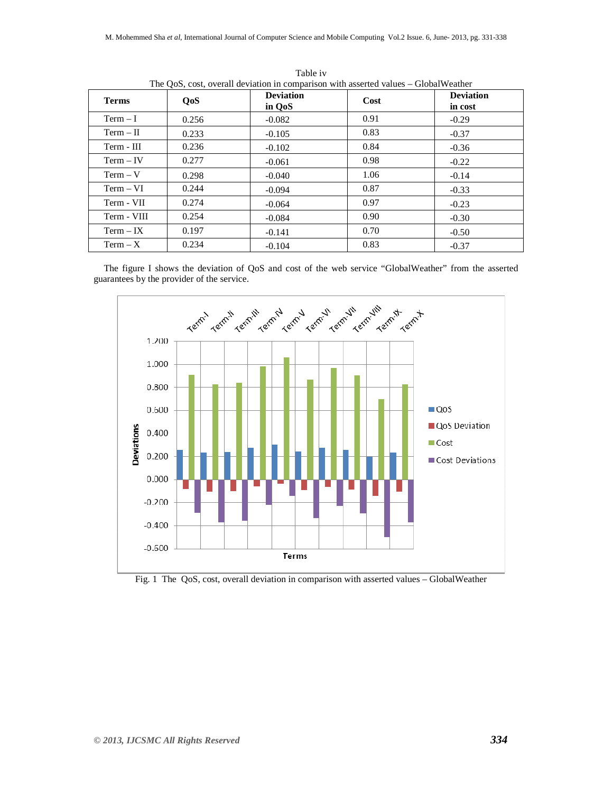| <b>Terms</b> | <b>QoS</b> | <b>Deviation</b><br>in QoS | Cost | <b>Deviation</b><br>in cost |
|--------------|------------|----------------------------|------|-----------------------------|
| $Term - I$   | 0.256      | $-0.082$                   | 0.91 | $-0.29$                     |
| $Term - II$  | 0.233      | $-0.105$                   | 0.83 | $-0.37$                     |
| Term - III   | 0.236      | $-0.102$                   | 0.84 | $-0.36$                     |
| $Term - IV$  | 0.277      | $-0.061$                   | 0.98 | $-0.22$                     |
| $Term - V$   | 0.298      | $-0.040$                   | 1.06 | $-0.14$                     |
| $Term - VI$  | 0.244      | $-0.094$                   | 0.87 | $-0.33$                     |
| Term - VII   | 0.274      | $-0.064$                   | 0.97 | $-0.23$                     |
| Term - VIII  | 0.254      | $-0.084$                   | 0.90 | $-0.30$                     |
| $Term - IX$  | 0.197      | $-0.141$                   | 0.70 | $-0.50$                     |
| $Term - X$   | 0.234      | $-0.104$                   | 0.83 | $-0.37$                     |

Table iv The QoS, cost, overall deviation in comparison with asserted values – GlobalWeather

The figure I shows the deviation of QoS and cost of the web service "GlobalWeather" from the asserted guarantees by the provider of the service.



Fig. 1 The QoS, cost, overall deviation in comparison with asserted values – GlobalWeather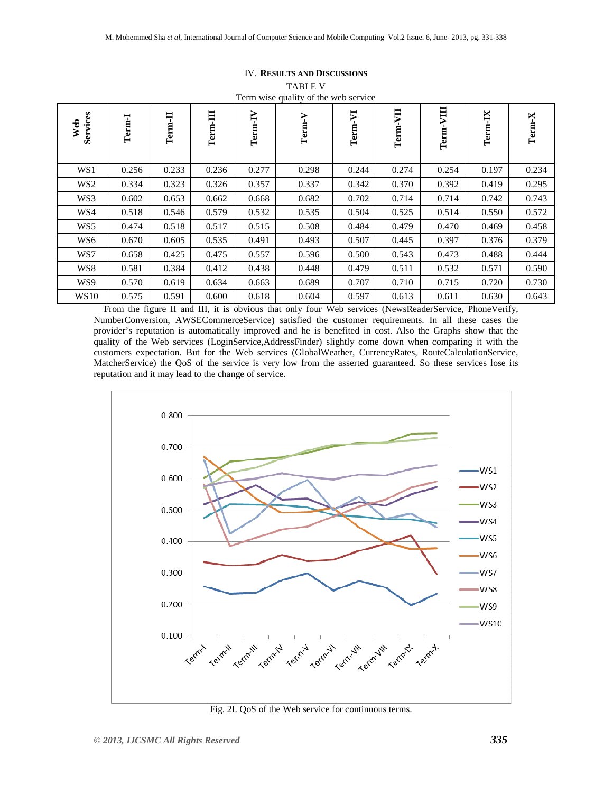| Term wise quality of the web service |        |           |          |         |        |         |              |           |         |        |
|--------------------------------------|--------|-----------|----------|---------|--------|---------|--------------|-----------|---------|--------|
| Services<br>Web                      | Term-I | $Term-II$ | Term-III | Term-IV | Term-V | Term-VI | цvі<br>Term- | Term-VIII | Term-IX | Term-X |
| WS1                                  | 0.256  | 0.233     | 0.236    | 0.277   | 0.298  | 0.244   | 0.274        | 0.254     | 0.197   | 0.234  |
| WS <sub>2</sub>                      | 0.334  | 0.323     | 0.326    | 0.357   | 0.337  | 0.342   | 0.370        | 0.392     | 0.419   | 0.295  |
| WS3                                  | 0.602  | 0.653     | 0.662    | 0.668   | 0.682  | 0.702   | 0.714        | 0.714     | 0.742   | 0.743  |
| WS4                                  | 0.518  | 0.546     | 0.579    | 0.532   | 0.535  | 0.504   | 0.525        | 0.514     | 0.550   | 0.572  |
| WS5                                  | 0.474  | 0.518     | 0.517    | 0.515   | 0.508  | 0.484   | 0.479        | 0.470     | 0.469   | 0.458  |
| WS6                                  | 0.670  | 0.605     | 0.535    | 0.491   | 0.493  | 0.507   | 0.445        | 0.397     | 0.376   | 0.379  |
| WS7                                  | 0.658  | 0.425     | 0.475    | 0.557   | 0.596  | 0.500   | 0.543        | 0.473     | 0.488   | 0.444  |
| WS8                                  | 0.581  | 0.384     | 0.412    | 0.438   | 0.448  | 0.479   | 0.511        | 0.532     | 0.571   | 0.590  |
| WS9                                  | 0.570  | 0.619     | 0.634    | 0.663   | 0.689  | 0.707   | 0.710        | 0.715     | 0.720   | 0.730  |
| <b>WS10</b>                          | 0.575  | 0.591     | 0.600    | 0.618   | 0.604  | 0.597   | 0.613        | 0.611     | 0.630   | 0.643  |

## IV. **RESULTS AND DISCUSSIONS**

TABLE V

From the figure II and III, it is obvious that only four Web services (NewsReaderService, PhoneVerify, NumberConversion, AWSECommerceService) satisfied the customer requirements. In all these cases the provider's reputation is automatically improved and he is benefited in cost. Also the Graphs show that the quality of the Web services (LoginService,AddressFinder) slightly come down when comparing it with the customers expectation. But for the Web services (GlobalWeather, CurrencyRates, RouteCalculationService, MatcherService) the QoS of the service is very low from the asserted guaranteed. So these services lose its reputation and it may lead to the change of service.



Fig. 2I. QoS of the Web service for continuous terms.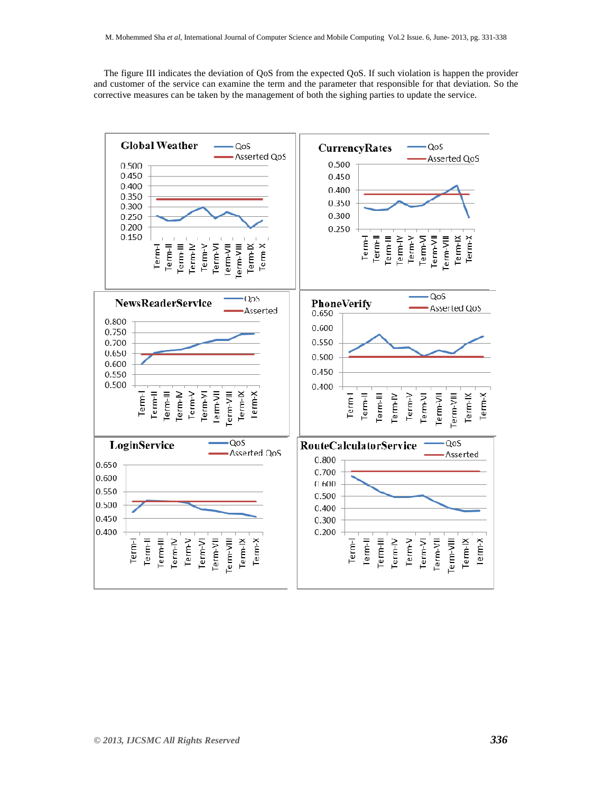The figure III indicates the deviation of QoS from the expected QoS. If such violation is happen the provider and customer of the service can examine the term and the parameter that responsible for that deviation. So the corrective measures can be taken by the management of both the sighing parties to update the service.

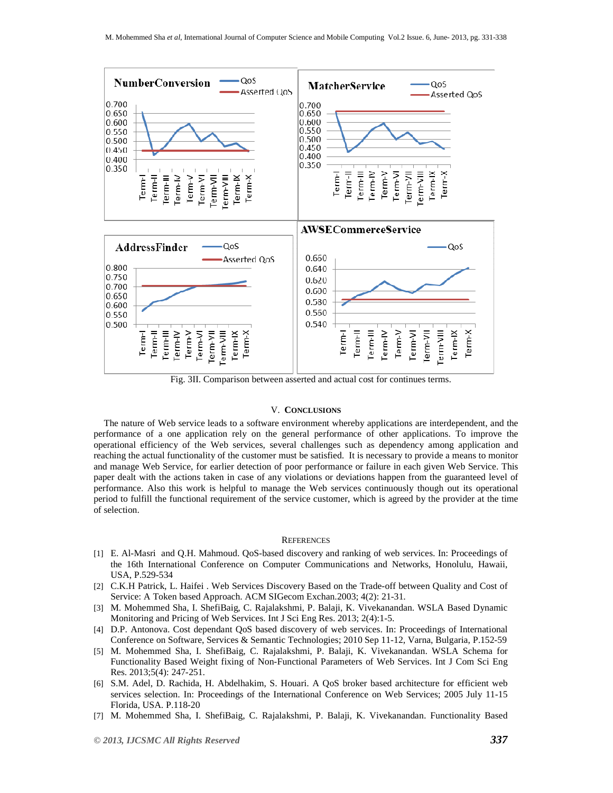

Fig. 3II. Comparison between asserted and actual cost for continues terms.

#### V. **CONCLUSIONS**

The nature of Web service leads to a software environment whereby applications are interdependent, and the performance of a one application rely on the general performance of other applications. To improve the operational efficiency of the Web services, several challenges such as dependency among application and reaching the actual functionality of the customer must be satisfied. It is necessary to provide a means to monitor and manage Web Service, for earlier detection of poor performance or failure in each given Web Service. This paper dealt with the actions taken in case of any violations or deviations happen from the guaranteed level of performance. Also this work is helpful to manage the Web services continuously though out its operational period to fulfill the functional requirement of the service customer, which is agreed by the provider at the time of selection.

#### **REFERENCES**

- [1] E. Al-Masri and Q.H. Mahmoud. QoS-based discovery and ranking of web services. In: Proceedings of the 16th International Conference on Computer Communications and Networks, Honolulu, Hawaii, USA, P.529-534
- [2] C.K.H Patrick, L. Haifei . Web Services Discovery Based on the Trade-off between Quality and Cost of Service: A Token based Approach. ACM SIGecom Exchan.2003; 4(2): 21-31.
- [3] M. Mohemmed Sha, I. ShefiBaig, C. Rajalakshmi, P. Balaji, K. Vivekanandan. WSLA Based Dynamic Monitoring and Pricing of Web Services. Int J Sci Eng Res. 2013; 2(4):1-5.
- [4] D.P. Antonova. Cost dependant QoS based discovery of web services. In: Proceedings of International Conference on Software, Services & Semantic Technologies; 2010 Sep 11-12, Varna, Bulgaria, P.152-59
- [5] M. Mohemmed Sha, I. ShefiBaig, C. Rajalakshmi, P. Balaji, K. Vivekanandan. WSLA Schema for Functionality Based Weight fixing of Non-Functional Parameters of Web Services. Int J Com Sci Eng Res. 2013;5(4): 247-251.
- [6] S.M. Adel, D. Rachida, H. Abdelhakim, S. Houari. A QoS broker based architecture for efficient web services selection. In: Proceedings of the International Conference on Web Services; 2005 July 11-15 Florida, USA. P.118-20
- [7] M. Mohemmed Sha, I. ShefiBaig, C. Rajalakshmi, P. Balaji, K. Vivekanandan. Functionality Based